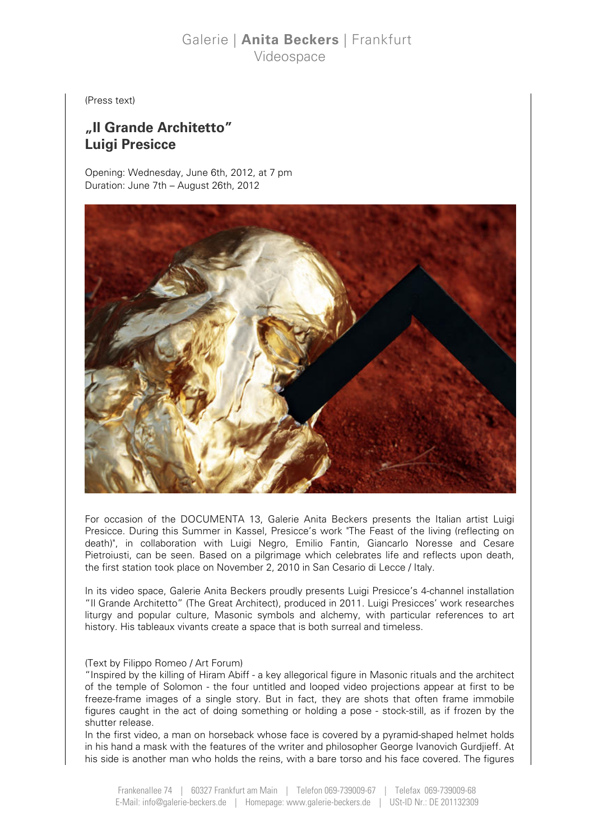## Galerie | Anita Beckers | Frankfurt Videospace

(Press text)

# "Il Grande Architetto" Luigi Presicce

Opening: Wednesday, June 6th, 2012, at 7 pm Duration: June 7th – August 26th, 2012



For occasion of the DOCUMENTA 13, Galerie Anita Beckers presents the Italian artist Luigi Presicce. During this Summer in Kassel, Presicce's work "The Feast of the living (reflecting on death)", in collaboration with Luigi Negro, Emilio Fantin, Giancarlo Noresse and Cesare Pietroiusti, can be seen. Based on a pilgrimage which celebrates life and reflects upon death, the first station took place on November 2, 2010 in San Cesario di Lecce / Italy.

In its video space, Galerie Anita Beckers proudly presents Luigi Presicce's 4-channel installation "Il Grande Architetto" (The Great Architect), produced in 2011. Luigi Presicces' work researches liturgy and popular culture, Masonic symbols and alchemy, with particular references to art history. His tableaux vivants create a space that is both surreal and timeless.

### (Text by Filippo Romeo / Art Forum)

"Inspired by the killing of Hiram Abiff - a key allegorical figure in Masonic rituals and the architect of the temple of Solomon - the four untitled and looped video projections appear at first to be freeze-frame images of a single story. But in fact, they are shots that often frame immobile figures caught in the act of doing something or holding a pose - stock-still, as if frozen by the shutter release.

In the first video, a man on horseback whose face is covered by a pyramid-shaped helmet holds in his hand a mask with the features of the writer and philosopher George Ivanovich Gurdjieff. At his side is another man who holds the reins, with a bare torso and his face covered. The figures